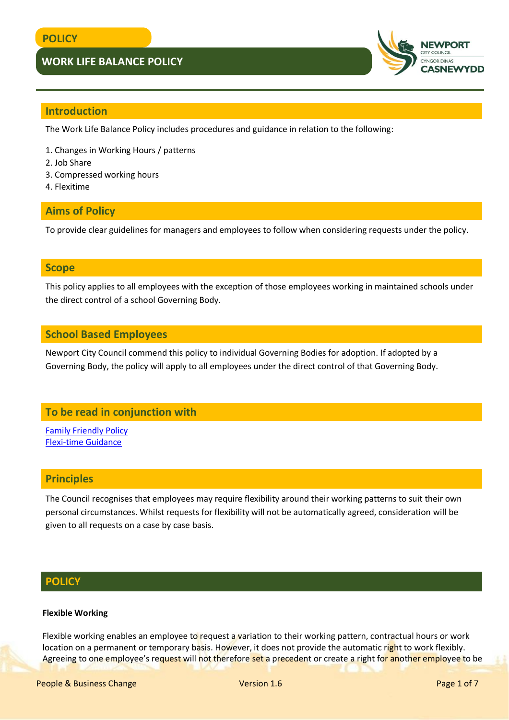

## **Introduction**

The Work Life Balance Policy includes procedures and guidance in relation to the following:

- 1. Changes in Working Hours / patterns
- 2. Job Share
- 3. Compressed working hours
- 4. Flexitime

## **Aims of Policy**

To provide clear guidelines for managers and employees to follow when considering requests under the policy.

### **Scope**

This policy applies to all employees with the exception of those employees working in maintained schools under the direct control of a school Governing Body.

## **School Based Employees**

Newport City Council commend this policy to individual Governing Bodies for adoption. If adopted by a Governing Body, the policy will apply to all employees under the direct control of that Governing Body.

## **To be read in conjunction with**

[Family Friendly Policy](http://www.newport.gov.uk/documents/Policies/HR-Family-Friendly-Policy.pdf) [Flexi-time Guidance](http://www.newport.gov.uk/documents/Policies/HR-Flexitime-Guidance.pdf)

### **Principles**

The Council recognises that employees may require flexibility around their working patterns to suit their own personal circumstances. Whilst requests for flexibility will not be automatically agreed, consideration will be given to all requests on a case by case basis.

## **POLICY**

### **Flexible Working**

Flexible working enables an employee to request a variation to their working pattern, contractual hours or work location on a permanent or temporary basis. However, it does not provide the automatic right to work flexibly. Agreeing to one employee's request will not therefore set a precedent or create a right for another employee to be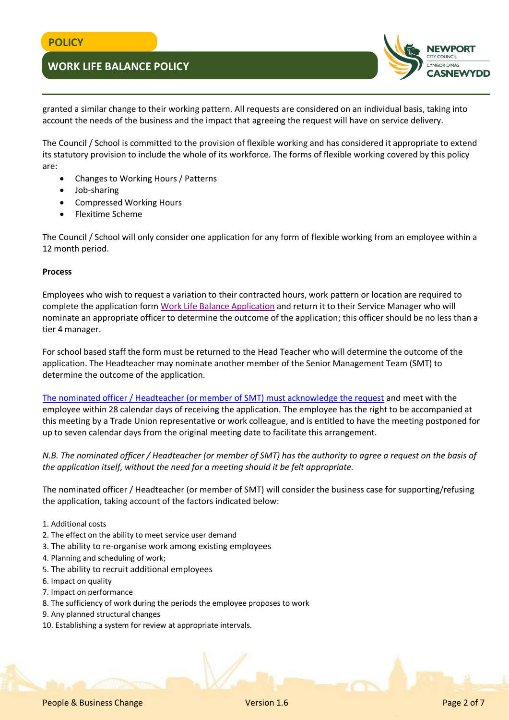

granted a similar change to their working pattern. All requests are considered on an individual basis, taking into account the needs of the business and the impact that agreeing the request will have on service delivery.

The Council / School is committed to the provision of flexible working and has considered it appropriate to extend its statutory provision to include the whole of its workforce. The forms of flexible working covered by this policy are:

- Changes to Working Hours / Patterns
- Job-sharing
- Compressed Working Hours
- Flexitime Scheme

The Council / School will only consider one application for any form of flexible working from an employee within a 12 month period.

#### **Process**

Employees who wish to request a variation to their contracted hours, work pattern or location are required to complete the application form [Work Life Balance Application](http://www.newport.gov.uk/documents/Forms/HR-Application-Under-Worklife-Balance-Policy.docx) and return it to their Service Manager who will nominate an appropriate officer to determine the outcome of the application; this officer should be no less than a tier 4 manager.

For school based staff the form must be returned to the Head Teacher who will determine the outcome of the application. The Headteacher may nominate another member of the Senior Management Team (SMT) to determine the outcome of the application.

[The nominated officer / Headteacher \(or member of SMT\) must acknowledge the request](http://www.newport.gov.uk/documents/Templates/HR-Work-Life-Balance-Application-Acknowledgement.docx) and meet with the employee within 28 calendar days of receiving the application. The employee has the right to be accompanied at this meeting by a Trade Union representative or work colleague, and is entitled to have the meeting postponed for up to seven calendar days from the original meeting date to facilitate this arrangement.

*N.B. The nominated officer / Headteacher (or member of SMT) has the authority to agree a request on the basis of the application itself, without the need for a meeting should it be felt appropriate.* 

The nominated officer / Headteacher (or member of SMT) will consider the business case for supporting/refusing the application, taking account of the factors indicated below:

- 1. Additional costs
- 2. The effect on the ability to meet service user demand
- 3. The ability to re-organise work among existing employees
- 4. Planning and scheduling of work;
- 5. The ability to recruit additional employees
- 6. Impact on quality
- 7. Impact on performance
- 8. The sufficiency of work during the periods the employee proposes to work
- 9. Any planned structural changes
- 10. Establishing a system for review at appropriate intervals.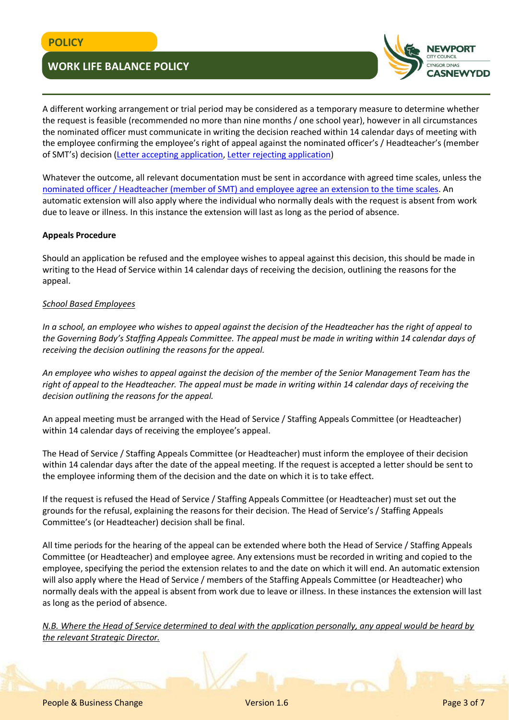

A different working arrangement or trial period may be considered as a temporary measure to determine whether the request is feasible (recommended no more than nine months / one school year), however in all circumstances the nominated officer must communicate in writing the decision reached within 14 calendar days of meeting with the employee confirming the employee's right of appeal against the nominated officer's / Headteacher's (member of SMT's) decision [\(Letter accepting application,](http://www.newport.gov.uk/documents/Templates/HR-Work-Life-Balance-Application-Acceptance.docx) [Letter rejecting application\)](http://www.newport.gov.uk/documents/Templates/HR-Work-Life-Balance-Application-Rejection.docx)

Whatever the outcome, all relevant documentation must be sent in accordance with agreed time scales, unless the [nominated officer / Headteacher \(member of SMT\) and employee agree an extension to the time scales.](http://www.newport.gov.uk/documents/Templates/HR-Work-Life-Balance-Application-Extension-to-Timescales.docx) An automatic extension will also apply where the individual who normally deals with the request is absent from work due to leave or illness. In this instance the extension will last as long as the period of absence.

### **Appeals Procedure**

Should an application be refused and the employee wishes to appeal against this decision, this should be made in writing to the Head of Service within 14 calendar days of receiving the decision, outlining the reasons for the appeal.

### *School Based Employees*

*In a school, an employee who wishes to appeal against the decision of the Headteacher has the right of appeal to the Governing Body's Staffing Appeals Committee. The appeal must be made in writing within 14 calendar days of receiving the decision outlining the reasons for the appeal.* 

*An employee who wishes to appeal against the decision of the member of the Senior Management Team has the right of appeal to the Headteacher. The appeal must be made in writing within 14 calendar days of receiving the decision outlining the reasons for the appeal.*

An appeal meeting must be arranged with the Head of Service / Staffing Appeals Committee (or Headteacher) within 14 calendar days of receiving the employee's appeal.

The Head of Service / Staffing Appeals Committee (or Headteacher) must inform the employee of their decision within 14 calendar days after the date of the appeal meeting. If the request is accepted a letter should be sent to the employee informing them of the decision and the date on which it is to take effect.

If the request is refused the Head of Service / Staffing Appeals Committee (or Headteacher) must set out the grounds for the refusal, explaining the reasons for their decision. The Head of Service's / Staffing Appeals Committee's (or Headteacher) decision shall be final.

All time periods for the hearing of the appeal can be extended where both the Head of Service / Staffing Appeals Committee (or Headteacher) and employee agree. Any extensions must be recorded in writing and copied to the employee, specifying the period the extension relates to and the date on which it will end. An automatic extension will also apply where the Head of Service / members of the Staffing Appeals Committee (or Headteacher) who normally deals with the appeal is absent from work due to leave or illness. In these instances the extension will last as long as the period of absence.

*N.B. Where the Head of Service determined to deal with the application personally, any appeal would be heard by the relevant Strategic Director.*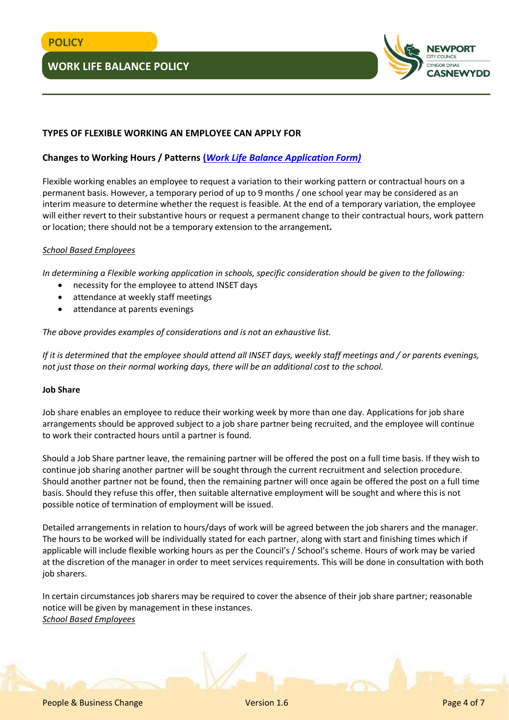

### **TYPES OF FLEXIBLE WORKING AN EMPLOYEE CAN APPLY FOR**

## **Changes to Working Hours / Patterns (***[Work Life Balance Application Form\)](http://www.newport.gov.uk/documents/Forms/HR-Application-Under-Worklife-Balance-Policy.docx)*

Flexible working enables an employee to request a variation to their working pattern or contractual hours on a permanent basis. However, a temporary period of up to 9 months / one school year may be considered as an interim measure to determine whether the request is feasible. At the end of a temporary variation, the employee will either revert to their substantive hours or request a permanent change to their contractual hours, work pattern or location; there should not be a temporary extension to the arrangement**.**

### *School Based Employees*

*In determining a Flexible working application in schools, specific consideration should be given to the following:* 

- necessity for the employee to attend INSET days
- attendance at weekly staff meetings
- attendance at parents evenings

### *The above provides examples of considerations and is not an exhaustive list.*

*If it is determined that the employee should attend all INSET days, weekly staff meetings and / or parents evenings, not just those on their normal working days, there will be an additional cost to the school.*

### **Job Share**

Job share enables an employee to reduce their working week by more than one day. Applications for job share arrangements should be approved subject to a job share partner being recruited, and the employee will continue to work their contracted hours until a partner is found.

Should a Job Share partner leave, the remaining partner will be offered the post on a full time basis. If they wish to continue job sharing another partner will be sought through the current recruitment and selection procedure. Should another partner not be found, then the remaining partner will once again be offered the post on a full time basis. Should they refuse this offer, then suitable alternative employment will be sought and where this is not possible notice of termination of employment will be issued.

Detailed arrangements in relation to hours/days of work will be agreed between the job sharers and the manager. The hours to be worked will be individually stated for each partner, along with start and finishing times which if applicable will include flexible working hours as per the Council's / School's scheme. Hours of work may be varied at the discretion of the manager in order to meet services requirements. This will be done in consultation with both job sharers.

In certain circumstances job sharers may be required to cover the absence of their job share partner; reasonable notice will be given by management in these instances. *School Based Employees*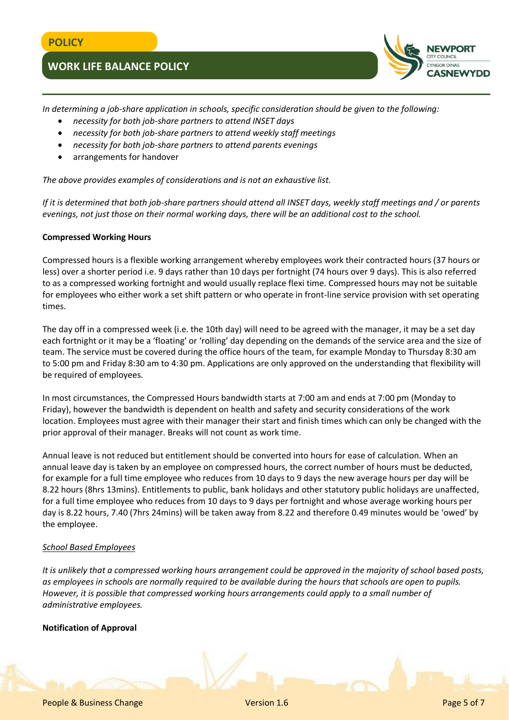

*In determining a job-share application in schools, specific consideration should be given to the following:* 

- *necessity for both job-share partners to attend INSET days*
- *necessity for both job-share partners to attend weekly staff meetings*
- *necessity for both job-share partners to attend parents evenings*
- arrangements for handover

*The above provides examples of considerations and is not an exhaustive list.*

*If it is determined that both job-share partners should attend all INSET days, weekly staff meetings and / or parents evenings, not just those on their normal working days, there will be an additional cost to the school.*

### **Compressed Working Hours**

Compressed hours is a flexible working arrangement whereby employees work their contracted hours (37 hours or less) over a shorter period i.e. 9 days rather than 10 days per fortnight (74 hours over 9 days). This is also referred to as a compressed working fortnight and would usually replace flexi time. Compressed hours may not be suitable for employees who either work a set shift pattern or who operate in front-line service provision with set operating times.

The day off in a compressed week (i.e. the 10th day) will need to be agreed with the manager, it may be a set day each fortnight or it may be a 'floating' or 'rolling' day depending on the demands of the service area and the size of team. The service must be covered during the office hours of the team, for example Monday to Thursday 8:30 am to 5:00 pm and Friday 8:30 am to 4:30 pm. Applications are only approved on the understanding that flexibility will be required of employees.

In most circumstances, the Compressed Hours bandwidth starts at 7:00 am and ends at 7:00 pm (Monday to Friday), however the bandwidth is dependent on health and safety and security considerations of the work location. Employees must agree with their manager their start and finish times which can only be changed with the prior approval of their manager. Breaks will not count as work time.

Annual leave is not reduced but entitlement should be converted into hours for ease of calculation. When an annual leave day is taken by an employee on compressed hours, the correct number of hours must be deducted, for example for a full time employee who reduces from 10 days to 9 days the new average hours per day will be 8.22 hours (8hrs 13mins). Entitlements to public, bank holidays and other statutory public holidays are unaffected, for a full time employee who reduces from 10 days to 9 days per fortnight and whose average working hours per day is 8.22 hours, 7.40 (7hrs 24mins) will be taken away from 8.22 and therefore 0.49 minutes would be 'owed' by the employee.

### *School Based Employees*

*It is unlikely that a compressed working hours arrangement could be approved in the majority of school based posts, as employees in schools are normally required to be available during the hours that schools are open to pupils. However, it is possible that compressed working hours arrangements could apply to a small number of administrative employees.*

### **Notification of Approval**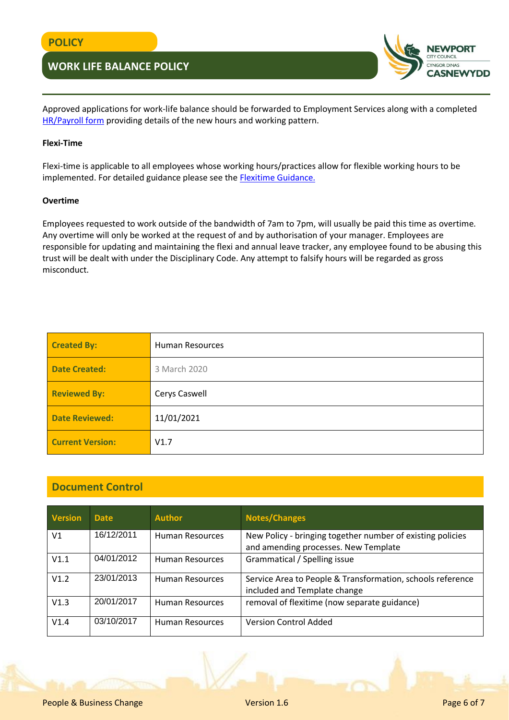

Approved applications for work-life balance should be forwarded to Employment Services along with a completed [HR/Payroll form](http://www.newport.gov.uk/documents/Forms/HR-and-Payroll-Form.doc) providing details of the new hours and working pattern.

### **Flexi-Time**

Flexi-time is applicable to all employees whose working hours/practices allow for flexible working hours to be implemented. For detailed guidance please see the **Flexitime Guidance**.

#### **Overtime**

Employees requested to work outside of the bandwidth of 7am to 7pm, will usually be paid this time as overtime. Any overtime will only be worked at the request of and by authorisation of your manager. Employees are responsible for updating and maintaining the flexi and annual leave tracker, any employee found to be abusing this trust will be dealt with under the Disciplinary Code. Any attempt to falsify hours will be regarded as gross misconduct.

| <b>Created By:</b>      | <b>Human Resources</b> |
|-------------------------|------------------------|
| <b>Date Created:</b>    | 3 March 2020           |
| <b>Reviewed By:</b>     | Cerys Caswell          |
| <b>Date Reviewed:</b>   | 11/01/2021             |
| <b>Current Version:</b> | V1.7                   |

## **Document Control**

| <b>Version</b> | <b>Date</b> | <b>Author</b>          | <b>Notes/Changes</b>                                                                               |
|----------------|-------------|------------------------|----------------------------------------------------------------------------------------------------|
| V <sub>1</sub> | 16/12/2011  | <b>Human Resources</b> | New Policy - bringing together number of existing policies<br>and amending processes. New Template |
| V1.1           | 04/01/2012  | <b>Human Resources</b> | Grammatical / Spelling issue                                                                       |
| V1.2           | 23/01/2013  | Human Resources        | Service Area to People & Transformation, schools reference<br>included and Template change         |
| V1.3           | 20/01/2017  | <b>Human Resources</b> | removal of flexitime (now separate guidance)                                                       |
| V1.4           | 03/10/2017  | Human Resources        | <b>Version Control Added</b>                                                                       |

People & Business Change Version 1.6 Page 6 of 7